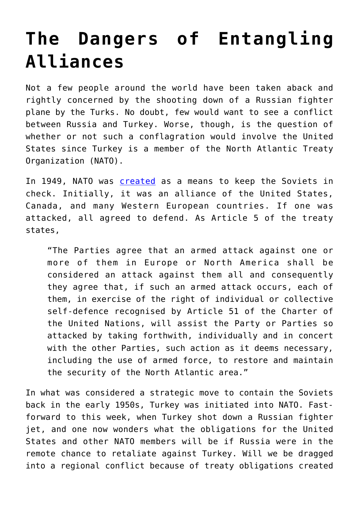## **[The Dangers of Entangling](https://intellectualtakeout.org/2015/11/the-dangers-of-entangling-alliances/) [Alliances](https://intellectualtakeout.org/2015/11/the-dangers-of-entangling-alliances/)**

Not a few people around the world have been taken aback and rightly concerned by the shooting down of a Russian fighter plane by the Turks. No doubt, few would want to see a conflict between Russia and Turkey. Worse, though, is the question of whether or not such a conflagration would involve the United States since Turkey is a member of the North Atlantic Treaty Organization (NATO).

In 1949, NATO was **[created](http://www.nato.int/cps/en/natolive/official_texts_17120.htm)** as a means to keep the Soviets in check. Initially, it was an alliance of the United States, Canada, and many Western European countries. If one was attacked, all agreed to defend. As Article 5 of the treaty states,

"The Parties agree that an armed attack against one or more of them in Europe or North America shall be considered an attack against them all and consequently they agree that, if such an armed attack occurs, each of them, in exercise of the right of individual or collective self-defence recognised by Article 51 of the Charter of the United Nations, will assist the Party or Parties so attacked by taking forthwith, individually and in concert with the other Parties, such action as it deems necessary, including the use of armed force, to restore and maintain the security of the North Atlantic area."

In what was considered a strategic move to contain the Soviets back in the early 1950s, Turkey was initiated into NATO. Fastforward to this week, when Turkey shot down a Russian fighter jet, and one now wonders what the obligations for the United States and other NATO members will be if Russia were in the remote chance to retaliate against Turkey. Will we be dragged into a regional conflict because of treaty obligations created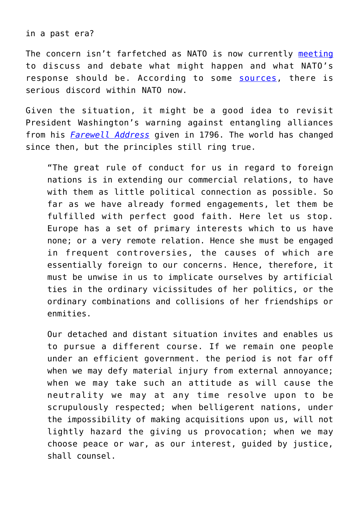in a past era?

The concern isn't farfetched as NATO is now currently [meeting](http://www.theguardian.com/world/live/2015/nov/24/russian-jet-downed-by-turkish-planes-near-syrian-border-live-updates) to discuss and debate what might happen and what NATO's response should be. According to some [sources](https://www.rt.com/news/323413-nato-discords-russian-plane/), there is serious discord within NATO now.

Given the situation, it might be a good idea to revisit President Washington's warning against entangling alliances from his *[Farewell Address](http://avalon.law.yale.edu/18th_century/washing.asp)* given in 1796. The world has changed since then, but the principles still ring true.

"The great rule of conduct for us in regard to foreign nations is in extending our commercial relations, to have with them as little political connection as possible. So far as we have already formed engagements, let them be fulfilled with perfect good faith. Here let us stop. Europe has a set of primary interests which to us have none; or a very remote relation. Hence she must be engaged in frequent controversies, the causes of which are essentially foreign to our concerns. Hence, therefore, it must be unwise in us to implicate ourselves by artificial ties in the ordinary vicissitudes of her politics, or the ordinary combinations and collisions of her friendships or enmities.

Our detached and distant situation invites and enables us to pursue a different course. If we remain one people under an efficient government. the period is not far off when we may defy material injury from external annoyance; when we may take such an attitude as will cause the neutrality we may at any time resolve upon to be scrupulously respected; when belligerent nations, under the impossibility of making acquisitions upon us, will not lightly hazard the giving us provocation; when we may choose peace or war, as our interest, guided by justice, shall counsel.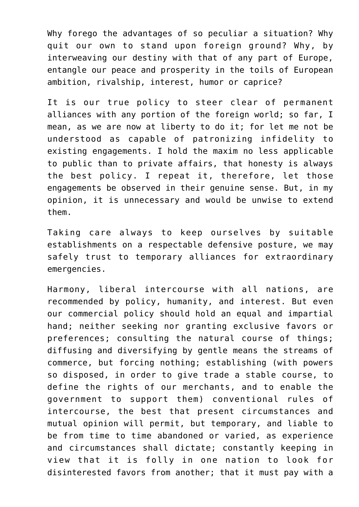Why forego the advantages of so peculiar a situation? Why quit our own to stand upon foreign ground? Why, by interweaving our destiny with that of any part of Europe, entangle our peace and prosperity in the toils of European ambition, rivalship, interest, humor or caprice?

It is our true policy to steer clear of permanent alliances with any portion of the foreign world; so far, I mean, as we are now at liberty to do it; for let me not be understood as capable of patronizing infidelity to existing engagements. I hold the maxim no less applicable to public than to private affairs, that honesty is always the best policy. I repeat it, therefore, let those engagements be observed in their genuine sense. But, in my opinion, it is unnecessary and would be unwise to extend them.

Taking care always to keep ourselves by suitable establishments on a respectable defensive posture, we may safely trust to temporary alliances for extraordinary emergencies.

Harmony, liberal intercourse with all nations, are recommended by policy, humanity, and interest. But even our commercial policy should hold an equal and impartial hand; neither seeking nor granting exclusive favors or preferences; consulting the natural course of things; diffusing and diversifying by gentle means the streams of commerce, but forcing nothing; establishing (with powers so disposed, in order to give trade a stable course, to define the rights of our merchants, and to enable the government to support them) conventional rules of intercourse, the best that present circumstances and mutual opinion will permit, but temporary, and liable to be from time to time abandoned or varied, as experience and circumstances shall dictate; constantly keeping in view that it is folly in one nation to look for disinterested favors from another; that it must pay with a